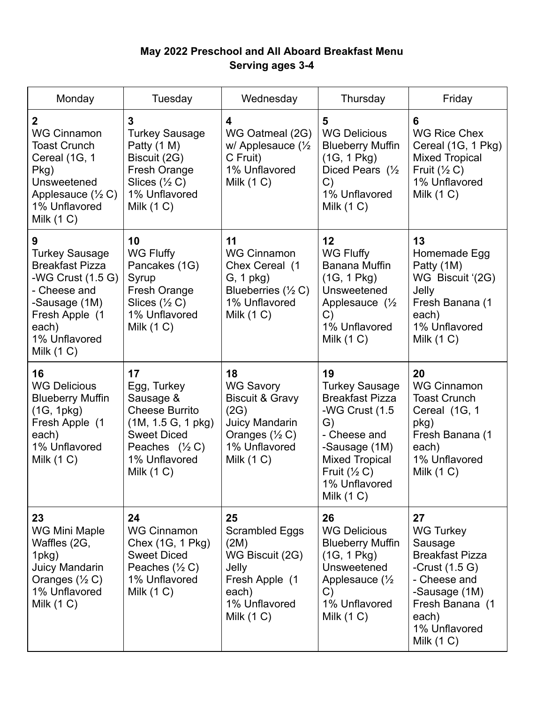## **May 2022 Preschool and All Aboard Breakfast Menu Serving ages 3-4**

| Monday                                                                                                                                                                 | Tuesday                                                                                                                                                  | Wednesday                                                                                                                                           | Thursday                                                                                                                                                                                             | Friday                                                                                                                                                                        |
|------------------------------------------------------------------------------------------------------------------------------------------------------------------------|----------------------------------------------------------------------------------------------------------------------------------------------------------|-----------------------------------------------------------------------------------------------------------------------------------------------------|------------------------------------------------------------------------------------------------------------------------------------------------------------------------------------------------------|-------------------------------------------------------------------------------------------------------------------------------------------------------------------------------|
| $\overline{2}$<br><b>WG Cinnamon</b><br><b>Toast Crunch</b><br>Cereal (1G, 1<br>Pkg)<br>Unsweetened<br>Applesauce $(\frac{1}{2} C)$<br>1% Unflavored<br>Milk $(1 C)$   | 3<br><b>Turkey Sausage</b><br>Patty (1 M)<br>Biscuit (2G)<br>Fresh Orange<br>Slices $(\frac{1}{2} C)$<br>1% Unflavored<br>Milk $(1 C)$                   | 4<br>WG Oatmeal (2G)<br>w/ Applesauce $(\frac{1}{2})$<br>C Fruit)<br>1% Unflavored<br>Milk $(1 C)$                                                  | 5<br><b>WG Delicious</b><br><b>Blueberry Muffin</b><br>(1G, 1Pkg)<br>Diced Pears (1/2<br>C)<br>1% Unflavored<br>Milk $(1 C)$                                                                         | 6<br><b>WG Rice Chex</b><br>Cereal (1G, 1 Pkg)<br><b>Mixed Tropical</b><br>Fruit $(\frac{1}{2}C)$<br>1% Unflavored<br>Milk $(1 C)$                                            |
| 9<br><b>Turkey Sausage</b><br><b>Breakfast Pizza</b><br>-WG Crust (1.5 G)<br>- Cheese and<br>-Sausage (1M)<br>Fresh Apple (1<br>each)<br>1% Unflavored<br>Milk $(1 C)$ | 10<br><b>WG Fluffy</b><br>Pancakes (1G)<br>Syrup<br>Fresh Orange<br>Slices $(\frac{1}{2} C)$<br>1% Unflavored<br>Milk $(1 C)$                            | 11<br><b>WG Cinnamon</b><br>Chex Cereal (1<br>$G, 1$ pkg)<br>Blueberries $(\frac{1}{2} C)$<br>1% Unflavored<br>Milk $(1 C)$                         | 12<br>WG Fluffy<br>Banana Muffin<br>(1G, 1Pkg)<br>Unsweetened<br>Applesauce $(\frac{1}{2})$<br>C)<br>1% Unflavored<br>Milk $(1 C)$                                                                   | 13<br>Homemade Egg<br>Patty (1M)<br>WG Biscuit '(2G)<br>Jelly<br>Fresh Banana (1<br>each)<br>1% Unflavored<br>Milk $(1 C)$                                                    |
| 16<br><b>WG Delicious</b><br><b>Blueberry Muffin</b><br>(1G, 1pkg)<br>Fresh Apple (1<br>each)<br>1% Unflavored<br>Milk $(1 C)$                                         | 17<br>Egg, Turkey<br>Sausage &<br><b>Cheese Burrito</b><br>(1M, 1.5 G, 1 pk)<br><b>Sweet Diced</b><br>Peaches $(1/2 C)$<br>1% Unflavored<br>Milk $(1 C)$ | 18<br><b>WG Savory</b><br><b>Biscuit &amp; Gravy</b><br>(2G)<br><b>Juicy Mandarin</b><br>Oranges $(\frac{1}{2} C)$<br>1% Unflavored<br>Milk $(1 C)$ | 19<br><b>Turkey Sausage</b><br><b>Breakfast Pizza</b><br>-WG Crust (1.5)<br>G)<br>- Cheese and<br>-Sausage (1M)<br><b>Mixed Tropical</b><br>Fruit $(\frac{1}{2} C)$<br>1% Unflavored<br>Milk $(1 C)$ | 20<br><b>WG Cinnamon</b><br><b>Toast Crunch</b><br>Cereal (1G, 1<br>pkg)<br>Fresh Banana (1<br>each)<br>1% Unflavored<br>Milk $(1 C)$                                         |
| 23<br><b>WG Mini Maple</b><br>Waffles (2G,<br>1pkg)<br><b>Juicy Mandarin</b><br>Oranges $(\frac{1}{2} C)$<br>1% Unflavored<br>Milk $(1 C)$                             | 24<br><b>WG Cinnamon</b><br>Chex (1G, 1 Pkg)<br><b>Sweet Diced</b><br>Peaches $(\frac{1}{2} C)$<br>1% Unflavored<br>Milk $(1 C)$                         | 25<br><b>Scrambled Eggs</b><br>(2M)<br>WG Biscuit (2G)<br>Jelly<br>Fresh Apple (1<br>each)<br>1% Unflavored<br>Milk $(1 C)$                         | 26<br><b>WG Delicious</b><br><b>Blueberry Muffin</b><br>(1G, 1Pkg)<br>Unsweetened<br>Applesauce $\frac{1}{2}$<br>C)<br>1% Unflavored<br>Milk $(1 C)$                                                 | 27<br><b>WG Turkey</b><br>Sausage<br><b>Breakfast Pizza</b><br>-Crust $(1.5 G)$<br>- Cheese and<br>-Sausage (1M)<br>Fresh Banana (1<br>each)<br>1% Unflavored<br>Milk $(1 C)$ |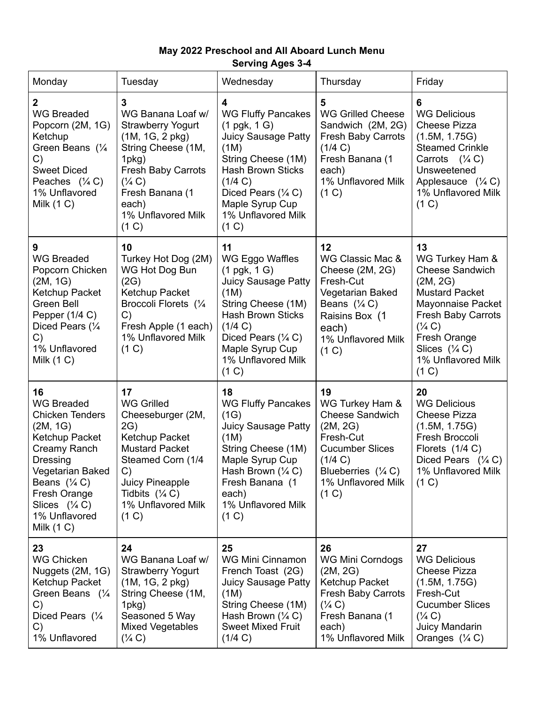## **May 2022 Preschool and All Aboard Lunch Menu Serving Ages 3-4**

| Monday                                                                                                                                                                                                                                  | Tuesday                                                                                                                                                                                                           | Wednesday                                                                                                                                                                                                                                | Thursday                                                                                                                                                               | Friday                                                                                                                                                                                                                                 |
|-----------------------------------------------------------------------------------------------------------------------------------------------------------------------------------------------------------------------------------------|-------------------------------------------------------------------------------------------------------------------------------------------------------------------------------------------------------------------|------------------------------------------------------------------------------------------------------------------------------------------------------------------------------------------------------------------------------------------|------------------------------------------------------------------------------------------------------------------------------------------------------------------------|----------------------------------------------------------------------------------------------------------------------------------------------------------------------------------------------------------------------------------------|
| 2<br><b>WG Breaded</b><br>Popcorn (2M, 1G)<br>Ketchup<br>Green Beans $(\frac{1}{4})$<br>C)<br><b>Sweet Diced</b><br>Peaches $($ <sup>1</sup> / <sub>4</sub> C)<br>1% Unflavored<br>Milk $(1 C)$                                         | 3<br>WG Banana Loaf w/<br><b>Strawberry Yogurt</b><br>(1M, 1G, 2 pkg)<br>String Cheese (1M,<br>1pkg)<br><b>Fresh Baby Carrots</b><br>$(\frac{1}{4} C)$<br>Fresh Banana (1<br>each)<br>1% Unflavored Milk<br>(1 C) | 4<br><b>WG Fluffy Pancakes</b><br>$(1$ pgk, $1$ G)<br><b>Juicy Sausage Patty</b><br>(1M)<br>String Cheese (1M)<br><b>Hash Brown Sticks</b><br>(1/4 C)<br>Diced Pears $(\frac{1}{4} C)$<br>Maple Syrup Cup<br>1% Unflavored Milk<br>(1 C) | 5<br><b>WG Grilled Cheese</b><br>Sandwich (2M, 2G)<br><b>Fresh Baby Carrots</b><br>(1/4 C)<br>Fresh Banana (1<br>each)<br>1% Unflavored Milk<br>(1 C)                  | 6<br><b>WG Delicious</b><br><b>Cheese Pizza</b><br>(1.5M, 1.75G)<br><b>Steamed Crinkle</b><br>Carrots $($ \% C)<br>Unsweetened<br>Applesauce $(\frac{1}{4} C)$<br>1% Unflavored Milk<br>(1 C)                                          |
| 9<br><b>WG Breaded</b><br>Popcorn Chicken<br>(2M, 1G)<br>Ketchup Packet<br>Green Bell<br>Pepper (1/4 C)<br>Diced Pears (1/4<br>C)<br>1% Unflavored<br>Milk $(1 C)$                                                                      | 10<br>Turkey Hot Dog (2M)<br>WG Hot Dog Bun<br>(2G)<br>Ketchup Packet<br>Broccoli Florets (1/4<br>C)<br>Fresh Apple (1 each)<br>1% Unflavored Milk<br>(1 C)                                                       | 11<br>WG Eggo Waffles<br>$(1$ pgk, $1 G)$<br><b>Juicy Sausage Patty</b><br>(1M)<br>String Cheese (1M)<br><b>Hash Brown Sticks</b><br>(1/4 C)<br>Diced Pears $(\frac{1}{4} C)$<br>Maple Syrup Cup<br>1% Unflavored Milk<br>(1 C)          | 12<br>WG Classic Mac &<br>Cheese (2M, 2G)<br>Fresh-Cut<br>Vegetarian Baked<br>Beans $(\frac{1}{4} C)$<br>Raisins Box (1<br>each)<br>1% Unflavored Milk<br>(1 C)        | 13<br>WG Turkey Ham &<br><b>Cheese Sandwich</b><br>(2M, 2G)<br><b>Mustard Packet</b><br>Mayonnaise Packet<br><b>Fresh Baby Carrots</b><br>$(\frac{1}{4} C)$<br>Fresh Orange<br>Slices $(\frac{1}{4} C)$<br>1% Unflavored Milk<br>(1 C) |
| 16<br><b>WG Breaded</b><br><b>Chicken Tenders</b><br>(2M, 1G)<br>Ketchup Packet<br>Creamy Ranch<br>Dressing<br>Vegetarian Baked<br>Beans $(\frac{1}{4} C)$<br>Fresh Orange<br>Slices $(\frac{1}{4} C)$<br>1% Unflavored<br>Milk $(1 C)$ | 17<br><b>WG Grilled</b><br>Cheeseburger (2M,<br>2G)<br>Ketchup Packet<br><b>Mustard Packet</b><br>Steamed Corn (1/4<br>C)<br>Juicy Pineapple<br>Tidbits $(\frac{1}{4} C)$<br>1% Unflavored Milk<br>(1 C)          | 18<br><b>WG Fluffy Pancakes</b><br>(1G)<br><b>Juicy Sausage Patty</b><br>(1M)<br>String Cheese (1M)<br>Maple Syrup Cup<br>Hash Brown $(\frac{1}{4} C)$<br>Fresh Banana (1<br>each)<br>1% Unflavored Milk<br>(1 C)                        | 19<br>WG Turkey Ham &<br><b>Cheese Sandwich</b><br>(2M, 2G)<br>Fresh-Cut<br><b>Cucumber Slices</b><br>(1/4 C)<br>Blueberries $($ 1/4 C)<br>1% Unflavored Milk<br>(1 C) | 20<br><b>WG Delicious</b><br><b>Cheese Pizza</b><br>(1.5M, 1.75G)<br>Fresh Broccoli<br>Florets (1/4 C)<br>Diced Pears $(\frac{1}{4} C)$<br>1% Unflavored Milk<br>(1 C)                                                                 |
| 23<br><b>WG Chicken</b><br>Nuggets (2M, 1G)<br>Ketchup Packet<br>Green Beans $(1/4)$<br>C)<br>Diced Pears (1/4<br>C)<br>1% Unflavored                                                                                                   | 24<br>WG Banana Loaf w/<br><b>Strawberry Yogurt</b><br>(1M, 1G, 2 pkg)<br>String Cheese (1M,<br>1pkg)<br>Seasoned 5 Way<br><b>Mixed Vegetables</b><br>$(\frac{1}{4} C)$                                           | 25<br><b>WG Mini Cinnamon</b><br>French Toast (2G)<br><b>Juicy Sausage Patty</b><br>(1M)<br>String Cheese (1M)<br>Hash Brown $(\frac{1}{4} C)$<br><b>Sweet Mixed Fruit</b><br>(1/4 C)                                                    | 26<br><b>WG Mini Corndogs</b><br>(2M, 2G)<br>Ketchup Packet<br><b>Fresh Baby Carrots</b><br>$(\frac{1}{4} C)$<br>Fresh Banana (1<br>each)<br>1% Unflavored Milk        | 27<br><b>WG Delicious</b><br>Cheese Pizza<br>(1.5M, 1.75G)<br>Fresh-Cut<br><b>Cucumber Slices</b><br>$(\frac{1}{4} C)$<br>Juicy Mandarin<br>Oranges $(\frac{1}{4} C)$                                                                  |